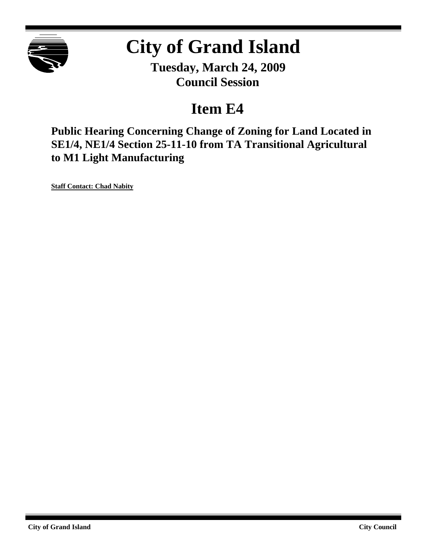

# **City of Grand Island**

**Tuesday, March 24, 2009 Council Session**

## **Item E4**

**Public Hearing Concerning Change of Zoning for Land Located in SE1/4, NE1/4 Section 25-11-10 from TA Transitional Agricultural to M1 Light Manufacturing**

**Staff Contact: Chad Nabity**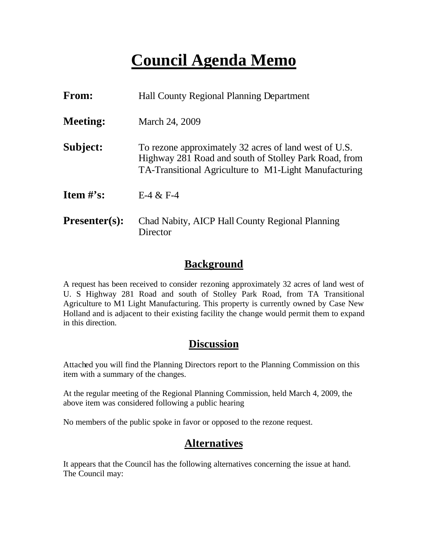## **Council Agenda Memo**

| From:                          | <b>Hall County Regional Planning Department</b>                                                                                                                         |  |
|--------------------------------|-------------------------------------------------------------------------------------------------------------------------------------------------------------------------|--|
| <b>Meeting:</b>                | March 24, 2009                                                                                                                                                          |  |
| Subject:                       | To rezone approximately 32 acres of land west of U.S.<br>Highway 281 Road and south of Stolley Park Road, from<br>TA-Transitional Agriculture to M1-Light Manufacturing |  |
| <b>Item <math>\#</math>'s:</b> | $E-4 & E-4$                                                                                                                                                             |  |
| <b>Presenter(s):</b>           | Chad Nabity, AICP Hall County Regional Planning<br>Director                                                                                                             |  |

### **Background**

A request has been received to consider rezoning approximately 32 acres of land west of U. S Highway 281 Road and south of Stolley Park Road, from TA Transitional Agriculture to M1 Light Manufacturing. This property is currently owned by Case New Holland and is adjacent to their existing facility the change would permit them to expand in this direction.

### **Discussion**

Attached you will find the Planning Directors report to the Planning Commission on this item with a summary of the changes.

At the regular meeting of the Regional Planning Commission, held March 4, 2009, the above item was considered following a public hearing

No members of the public spoke in favor or opposed to the rezone request.

## **Alternatives**

It appears that the Council has the following alternatives concerning the issue at hand. The Council may: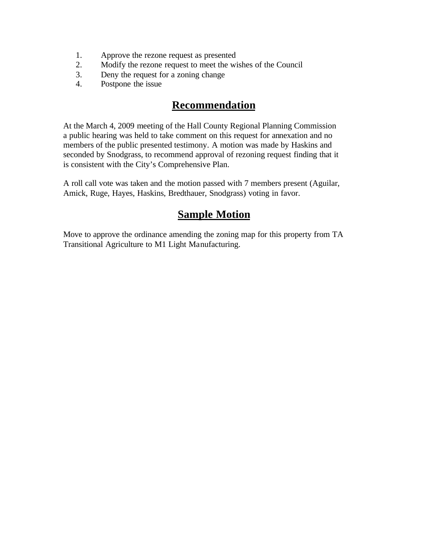- 1. Approve the rezone request as presented
- 2. Modify the rezone request to meet the wishes of the Council
- 3. Deny the request for a zoning change
- 4. Postpone the issue

## **Recommendation**

At the March 4, 2009 meeting of the Hall County Regional Planning Commission a public hearing was held to take comment on this request for annexation and no members of the public presented testimony. A motion was made by Haskins and seconded by Snodgrass, to recommend approval of rezoning request finding that it is consistent with the City's Comprehensive Plan.

A roll call vote was taken and the motion passed with 7 members present (Aguilar, Amick, Ruge, Hayes, Haskins, Bredthauer, Snodgrass) voting in favor.

## **Sample Motion**

Move to approve the ordinance amending the zoning map for this property from TA Transitional Agriculture to M1 Light Manufacturing.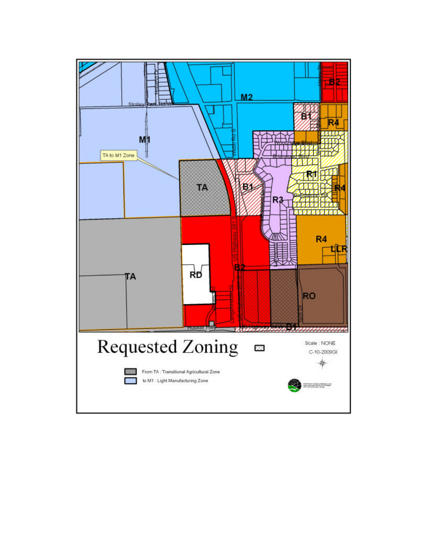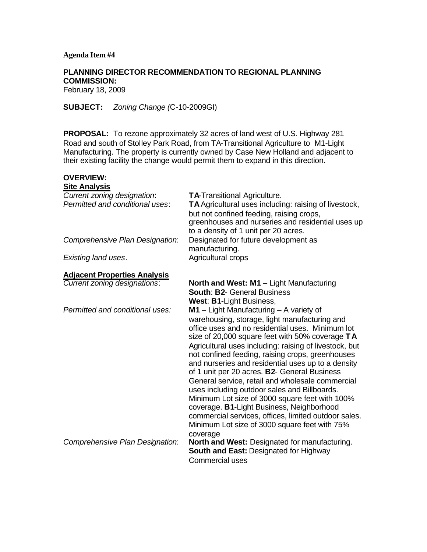#### **Agenda Item #4**

#### **PLANNING DIRECTOR RECOMMENDATION TO REGIONAL PLANNING COMMISSION:**

February 18, 2009

**SUBJECT:** *Zoning Change (*C-10-2009GI)

**PROPOSAL:** To rezone approximately 32 acres of land west of U.S. Highway 281 Road and south of Stolley Park Road, from TA-Transitional Agriculture to M1-Light Manufacturing. The property is currently owned by Case New Holland and adjacent to their existing facility the change would permit them to expand in this direction.

#### **OVERVIEW: Site Analysis**

| TA-Transitional Agriculture.<br>TA Agricultural uses including: raising of livestock,<br>but not confined feeding, raising crops,<br>greenhouses and nurseries and residential uses up<br>to a density of 1 unit per 20 acres.                                                                                                                                                                                                                                                                                                                                                                                                                                                                                                                  |
|-------------------------------------------------------------------------------------------------------------------------------------------------------------------------------------------------------------------------------------------------------------------------------------------------------------------------------------------------------------------------------------------------------------------------------------------------------------------------------------------------------------------------------------------------------------------------------------------------------------------------------------------------------------------------------------------------------------------------------------------------|
| Designated for future development as<br>manufacturing.                                                                                                                                                                                                                                                                                                                                                                                                                                                                                                                                                                                                                                                                                          |
| Agricultural crops                                                                                                                                                                                                                                                                                                                                                                                                                                                                                                                                                                                                                                                                                                                              |
|                                                                                                                                                                                                                                                                                                                                                                                                                                                                                                                                                                                                                                                                                                                                                 |
| North and West: M1 - Light Manufacturing<br><b>South: B2- General Business</b><br>West: B1-Light Business,                                                                                                                                                                                                                                                                                                                                                                                                                                                                                                                                                                                                                                      |
| $M1 -$ Light Manufacturing $-$ A variety of<br>warehousing, storage, light manufacturing and<br>office uses and no residential uses. Minimum lot<br>size of 20,000 square feet with 50% coverage TA<br>Agricultural uses including: raising of livestock, but<br>not confined feeding, raising crops, greenhouses<br>and nurseries and residential uses up to a density<br>of 1 unit per 20 acres. B2- General Business<br>General service, retail and wholesale commercial<br>uses including outdoor sales and Billboards.<br>Minimum Lot size of 3000 square feet with 100%<br>coverage. B1-Light Business, Neighborhood<br>commercial services, offices, limited outdoor sales.<br>Minimum Lot size of 3000 square feet with 75%<br>coverage |
| North and West: Designated for manufacturing.<br>South and East: Designated for Highway<br><b>Commercial uses</b>                                                                                                                                                                                                                                                                                                                                                                                                                                                                                                                                                                                                                               |
|                                                                                                                                                                                                                                                                                                                                                                                                                                                                                                                                                                                                                                                                                                                                                 |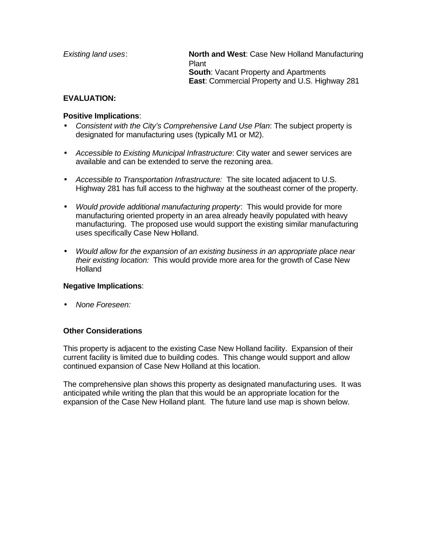| Existing land uses: | <b>North and West: Case New Holland Manufacturing</b><br>Plant |
|---------------------|----------------------------------------------------------------|
|                     | <b>South:</b> Vacant Property and Apartments                   |
|                     | <b>East:</b> Commercial Property and U.S. Highway 281          |

#### **EVALUATION:**

#### **Positive Implications**:

- *Consistent with the City's Comprehensive Land Use Plan*: The subject property is designated for manufacturing uses (typically M1 or M2).
- *Accessible to Existing Municipal Infrastructure*: City water and sewer services are available and can be extended to serve the rezoning area.
- *Accessible to Transportation Infrastructure:* The site located adjacent to U.S. Highway 281 has full access to the highway at the southeast corner of the property.
- *Would provide additional manufacturing property*: This would provide for more manufacturing oriented property in an area already heavily populated with heavy manufacturing. The proposed use would support the existing similar manufacturing uses specifically Case New Holland.
- *Would allow for the expansion of an existing business in an appropriate place near their existing location:* This would provide more area for the growth of Case New **Holland**

#### **Negative Implications**:

• *None Foreseen:* 

#### **Other Considerations**

This property is adjacent to the existing Case New Holland facility. Expansion of their current facility is limited due to building codes. This change would support and allow continued expansion of Case New Holland at this location.

The comprehensive plan shows this property as designated manufacturing uses. It was anticipated while writing the plan that this would be an appropriate location for the expansion of the Case New Holland plant. The future land use map is shown below.